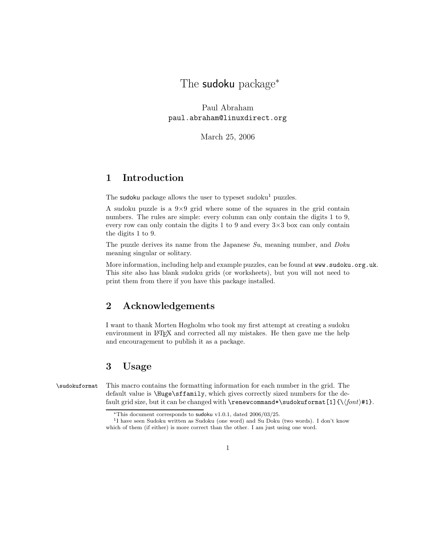The **sudoku** package<sup>\*</sup>

Paul Abraham paul.abraham@linuxdirect.org

March 25, 2006

# 1 Introduction

The sudoku package allows the user to typeset sudoku<sup>1</sup> puzzles.

A sudoku puzzle is a  $9\times9$  grid where some of the squares in the grid contain numbers. The rules are simple: every column can only contain the digits 1 to 9, every row can only contain the digits 1 to 9 and every  $3\times3$  box can only contain the digits 1 to 9.

The puzzle derives its name from the Japanese Su, meaning number, and Doku meaning singular or solitary.

More information, including help and example puzzles, can be found at www.sudoku.org.uk. This site also has blank sudoku grids (or worksheets), but you will not need to print them from there if you have this package installed.

### 2 Acknowledgements

I want to thank Morten Høgholm who took my first attempt at creating a sudoku environment in L<sup>A</sup>TEX and corrected all my mistakes. He then gave me the help and encouragement to publish it as a package.

# 3 Usage

\sudokuformat This macro contains the formatting information for each number in the grid. The default value is \Huge\sffamily, which gives correctly sized numbers for the default grid size, but it can be changed with \renewcommand\*\sudokuformat[1]{\\font\#1}.

<sup>∗</sup>This document corresponds to sudoku v1.0.1, dated 2006/03/25.

<sup>&</sup>lt;sup>1</sup>I have seen Sudoku written as Sudoku (one word) and Su Doku (two words). I don't know which of them (if either) is more correct than the other. I am just using one word.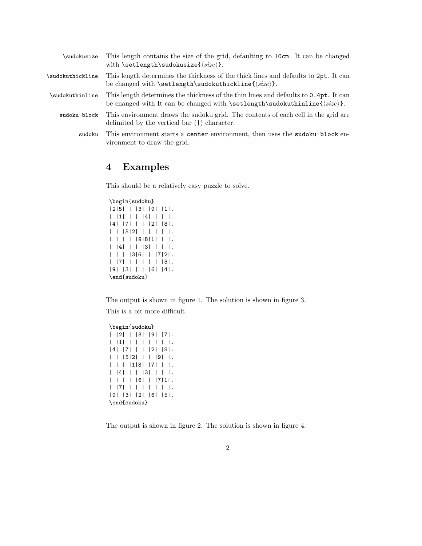| \sudokusize      | This length contains the size of the grid, defaulting to 10cm. It can be changed<br>with \setlength\sudokusize{ $\langle size \rangle$ }.          |
|------------------|----------------------------------------------------------------------------------------------------------------------------------------------------|
| \sudokuthickline | This length determines the thickness of the thick lines and defaults to 2pt. It can<br>be changed with $\setminus \texttt{sub\substack{\size$}}$ . |
| \sudokuthinline  | This length determines the thickness of the thin lines and defaults to 0.4pt. It can                                                               |
| sudoku-block     | This environment draws the sudoku grid. The contents of each cell in the grid are<br>delimited by the vertical bar $( )$ character.                |
| sudoku           | This environment starts a center environment, then uses the sudoku-block en-<br>vironment to draw the grid.                                        |

#### 4 Examples

This should be a relatively easy puzzle to solve.

#### \begin{sudoku}

```
|2|5| | |3| |9| |1|.
| |1| | | |4| | | |.
|4| |7| | | |2| |8|.
| | |5|2| | | | | |.
| | | | |9|8|1| | |.
| |4| | | |3| | | |.
| | | |3|6| | |7|2|.
| |7| | | | | | |3|.
|9| |3| | | |6| |4|.
\end{sudoku}
```
The output is shown in figure 1. The solution is shown in figure 3. This is a bit more difficult.

\begin{sudoku} | |2| | |3| |9| |7|. | |1| | | | | | | |. |4| |7| | | |2| |8|. | | |5|2| | | |9| |. | | | |1|8| |7| | |. | |4| | | |3| | | |. | | | | |6| | |7|1|. | |7| | | | | | | |. |9| |3| |2| |6| |5|. \end{sudoku}

The output is shown in figure 2. The solution is shown in figure 4.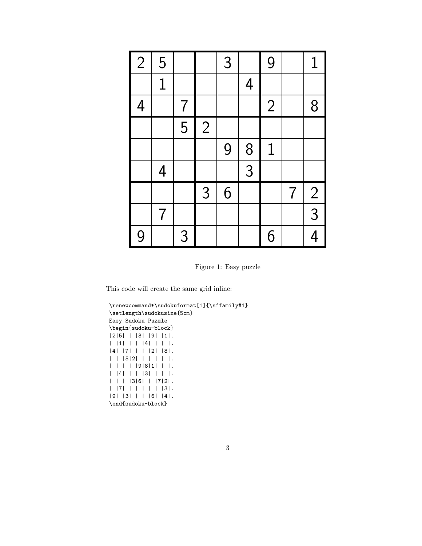| $\overline{2}$ | 5              |                |                | 3 |                | 9              |                | $\mathbf 1$    |
|----------------|----------------|----------------|----------------|---|----------------|----------------|----------------|----------------|
|                | $\mathbf{1}$   |                |                |   | $\overline{4}$ |                |                |                |
| $\overline{4}$ |                | $\overline{7}$ |                |   |                | $\overline{2}$ |                | 8              |
|                |                | $\overline{5}$ | $\overline{2}$ |   |                |                |                |                |
|                |                |                |                | 9 | 8              | $\mathbf 1$    |                |                |
|                | $\overline{4}$ |                |                |   | $\overline{3}$ |                |                |                |
|                |                |                | 3              | 6 |                |                | $\overline{7}$ | $\frac{2}{1}$  |
|                | $\overline{7}$ |                |                |   |                |                |                | $\overline{3}$ |
| 9              |                | 3              |                |   |                | 6              |                | $\overline{4}$ |

Figure 1: Easy puzzle

This code will create the same grid inline:

```
\renewcommand*\sudokuformat[1]{\sffamily#1}
\setlength\sudokusize{5cm}
Easy Sudoku Puzzle
\begin{sudoku-block}
|2|5| | |3| |9| |1|.
| |1| | | |4| | | |.
|4| |7| | | |2| |8|.
| | |5|2| | | | | |.
| | | | |9|8|1| | |.
| |4| | | |3| | | |.
| | | |3|6| | |7|2|.
| |7| | | | | | |3|.
|9| |3| | | |6| |4|.
\end{sudoku-block}
```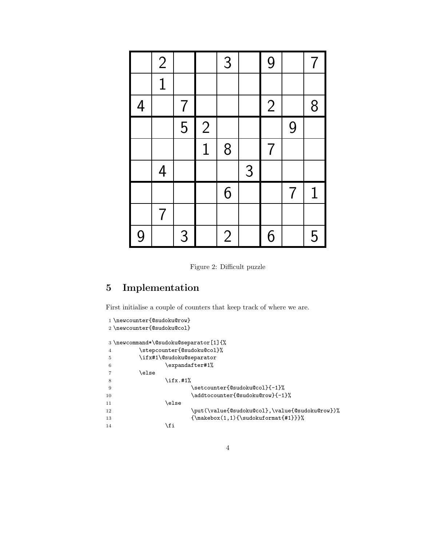|                | $\overline{2}$ |                |                | 3              |   | 9              |                | 7           |
|----------------|----------------|----------------|----------------|----------------|---|----------------|----------------|-------------|
|                | $\overline{1}$ |                |                |                |   |                |                |             |
| $\overline{4}$ |                | $\overline{7}$ |                |                |   | $\overline{2}$ |                | 8           |
|                |                | $\overline{5}$ | $\overline{c}$ |                |   |                | 9              |             |
|                |                |                | $\overline{1}$ | 8              |   | $\overline{7}$ |                |             |
|                | $\overline{4}$ |                |                |                | 3 |                |                |             |
|                |                |                |                | 6              |   |                | $\overline{7}$ | $\mathbf 1$ |
|                | $\overline{7}$ |                |                |                |   |                |                |             |
| 9              |                | 3              |                | $\overline{2}$ |   | 6              |                | 5           |

Figure 2: Difficult puzzle

# 5 Implementation

First initialise a couple of counters that keep track of where we are.

```
1 \newcounter{@sudoku@row}
2 \newcounter{@sudoku@col}
3 \newcommand*\@sudoku@separator[1]{%
4 \stepcounter{@sudoku@col}%
5 \ifx#1\@sudoku@separator
6 \qquad \qquad \text{expandafter#1\%}7 \else
8 \{if x. #1\%9 \setcounter{@sudoku@col}{-1}%
10 \addtocounter{@sudoku@row}{-1}%
11 \else
12 \put(\value{@sudoku@col},\value{@sudoku@row})%
13 {\makebox(1,1){\sudokuformat{#1}}}%
14 \overline{\ } \int
```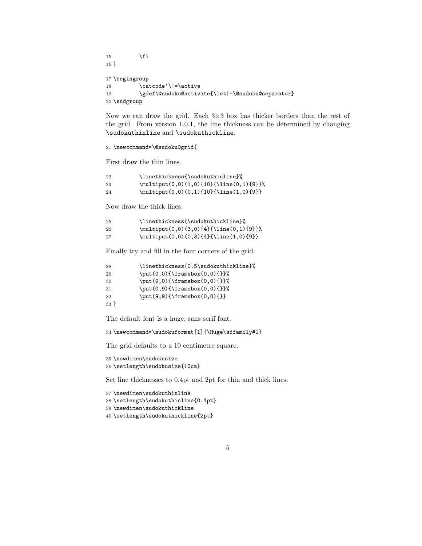$15 \overline{\ } \}$  } \begingroup 18 \catcode'\|=\active 19 \gdef\@sudoku@activate{\let|=\@sudoku@separator} \endgroup

Now we can draw the grid. Each  $3\times3$  box has thicker borders than the rest of the grid. From version 1.0.1, the line thickness can be determined by changing \sudokuthinline and \sudokuthickline.

\newcommand\*\@sudoku@grid{

First draw the thin lines.

| 22  | \linethickness{\sudokuthinline}%          |
|-----|-------------------------------------------|
| -23 | \multiput(0,0)(1,0){10}{\line(0,1){9}}%   |
| -24 | $\mathcal{0,0}(0,1)\{10\}\{\line{1,0\}\}$ |

Now draw the thick lines.

| -25 | \linethickness{\sudokuthickline}%        |
|-----|------------------------------------------|
| -26 | $\mathcal{0,0}(3,0)$ {4}{\line(0,1){9}}% |
| 27  | $\mathcal{0,0}(0,3)$ {4}{\line(1,0){9}}  |

Finally try and fill in the four corners of the grid.

| $\put(0,0){\frac{\frac{0,0}{}}{x}}$<br>29 | \linethickness{0.5\sudokuthickline}% |
|-------------------------------------------|--------------------------------------|
|                                           |                                      |
| $\put(9,0){\frac{\tanh(0,0)}{\t}}$<br>30  |                                      |
| \put(0,9){\framebox(0,0){}}%<br>31        |                                      |
| $\put(9,9){\frac{\tanh(0,0)}{\t}}$<br>32  |                                      |
| 33 <sup>1</sup>                           |                                      |

The default font is a huge, sans serif font.

\newcommand\*\sudokuformat[1]{\Huge\sffamily#1}

The grid defaults to a 10 centimetre square.

 \newdimen\sudokusize \setlength\sudokusize{10cm}

Set line thicknesses to 0.4pt and 2pt for thin and thick lines.

```
37 \newdimen\sudokuthinline
38 \setlength\sudokuthinline{0.4pt}
39 \newdimen\sudokuthickline
40 \setlength\sudokuthickline{2pt}
```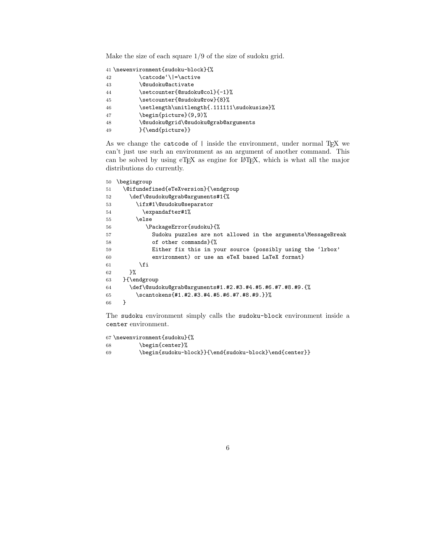Make the size of each square 1/9 of the size of sudoku grid.

|    | 41 \newenvironment{sudoku-block}{%         |
|----|--------------------------------------------|
| 42 | \catcode'\ =\active                        |
| 43 | <b>\@sudoku@activate</b>                   |
| 44 | \setcounter{@sudoku@col}{-1}%              |
| 45 | \setcounter{@sudoku@row}{8}%               |
| 46 | \setlength\unitlength{.111111\sudokusize}% |
| 47 | \begin{picture}(9,9)%                      |
| 48 | \@sudoku@grid\@sudoku@grab@arguments       |
| 49 | }{\end{picture}}                           |

As we change the catcode of | inside the environment, under normal TEX we can't just use such an environment as an argument of another command. This can be solved by using eTEX as engine for L<sup>A</sup>TEX, which is what all the major distributions do currently.

```
50 \begingroup
51 \@ifundefined{eTeXversion}{\endgroup
52 \def\@sudoku@grab@arguments#1{%
53 \ifx#1\@sudoku@separator
54 \expandafter#1%
55 \else
56 \PackageError{sudoku}{%
57 Sudoku puzzles are not allowed in the arguments\MessageBreak
58 of other commands}{%
59 Either fix this in your source (possibly using the 'lrbox'
60 environment) or use an eTeX based LaTeX format}
61 \fi
62 }%
63 }{\endgroup
64 \def\@sudoku@grab@arguments#1.#2.#3.#4.#5.#6.#7.#8.#9.{%
65 \scantokens{#1.#2.#3.#4.#5.#6.#7.#8.#9.}}%
66 }
```
The sudoku environment simply calls the sudoku-block environment inside a center environment.

```
67 \newenvironment{sudoku}{%
68 \begin{center}%
69 \begin{sudoku-block}}{\end{sudoku-block}\end{center}}
```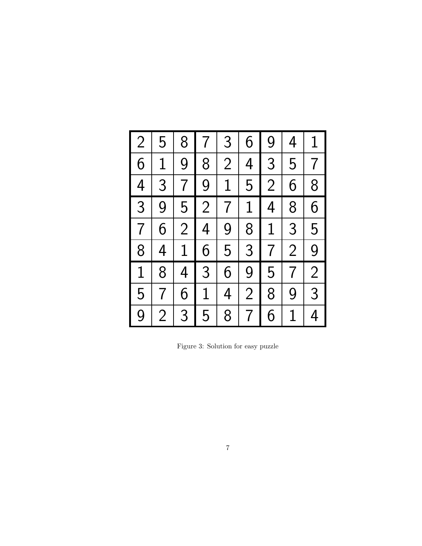| $\overline{2}$ | 5              | 8              | $\overline{7}$ | 3              | 6              | 9               | 4              | $\mathbf 1$    |
|----------------|----------------|----------------|----------------|----------------|----------------|-----------------|----------------|----------------|
| 6              | $\overline{1}$ | 9              | 8              | $\overline{2}$ | $\overline{4}$ | $\overline{3}$  | 5              | $\overline{7}$ |
| $\overline{4}$ | $\overline{3}$ | $\overline{7}$ | $\overline{9}$ | $\overline{1}$ | 5              | $\overline{2}$  | 6              | 8              |
| $\overline{3}$ | 9              | 5              | $\overline{2}$ | $\frac{1}{7}$  | $1\,$          | $\overline{4}$  | 8              | 6              |
| $\overline{7}$ | 6              | $\overline{2}$ | $\frac{1}{4}$  | 9              | $\overline{8}$ | $\overline{1}$  | $\overline{3}$ | 5              |
| 8              | $\overline{4}$ | $\overline{1}$ | 6              | 5              | 3              | $\overline{7}$  | $\overline{2}$ | 9              |
| $\overline{1}$ | 8              | $\overline{4}$ | 3              | $\overline{6}$ | 9              | 5               | $\overline{7}$ | $\overline{2}$ |
| 5              | $\overline{7}$ | 6              | $\overline{1}$ | $\overline{4}$ | $\overline{2}$ | 8               | 9              | $\overline{3}$ |
| 9              | $\overline{2}$ | $\overline{3}$ | 5              | 8              | $\overline{7}$ | $6\overline{6}$ | $\overline{1}$ | $\overline{4}$ |

Figure 3: Solution for easy puzzle